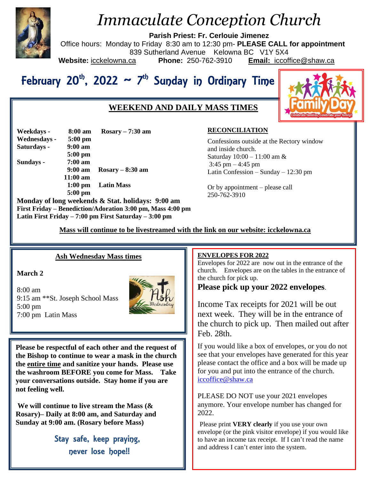

# *Immaculate Conception Church*

**Parish Priest: Fr. Cerlouie Jimenez**

Office hours: Monday to Friday 8:30 am to 12:30 pm- **PLEASE CALL for appointment** 839 Sutherland Avenue Kelowna BC V1Y 5X4<br>ca **Phone:** 250-762-3910 **Email:** iccoft **Website:** icckelowna.ca **Phone:** 250-762-3910 **Email:** iccoffice@shaw.ca

# February 20<sup>th</sup>, 2022 ~ 7<sup>th</sup> Sunday in Ordinary Time

# **WEEKEND AND DAILY MASS TIMES**



| Weekdays -   | 8:00 am           | $Rosary - 7:30$ am |
|--------------|-------------------|--------------------|
| Wednesdays - | $5:00$ pm         |                    |
| Saturdays -  | $9:00$ am         |                    |
|              | $5:00$ pm         |                    |
| Sundays -    | $7:00 a$ m        |                    |
|              | $9:00 \text{ am}$ | $Rosary - 8:30$ am |
|              | $11:00$ am        |                    |
|              |                   | 1:00 pm Latin Mass |
|              | $5:00$ pm         |                    |
|              |                   |                    |

**Monday of long weekends & Stat. holidays: 9:00 am First Friday – Benediction/Adoration 3:00 pm, Mass 4:00 pm Latin First Friday – 7:00 pm First Saturday – 3:00 pm** 

## **RECONCILIATION**

Confessions outside at the Rectory window and inside church. Saturday 10:00 – 11:00 am &  $3:45$  pm  $-4:45$  pm Latin Confession – Sunday – 12:30 pm

Or by appointment – please call 250-762-3910

 **Mass will continue to be livestreamed with the link on our website: icckelowna.ca**

## **Ash Wednesday Mass times**

### **March 2**

8:00 am 9:15 am \*\*St. Joseph School Mass 5:00 pm 7:00 pm Latin Mass



**Please be respectful of each other and the request of the Bishop to continue to wear a mask in the church the entire time and sanitize your hands. Please use the washroom BEFORE you come for Mass. Take your conversations outside. Stay home if you are not feeling well.** 

**We will continue to live stream the Mass (& Rosary)– Daily at 8:00 am, and Saturday and Sunday at 9:00 am. (Rosary before Mass)**

> Stay safe, keep praying, never lose hope!!

#### j **ENVELOPES FOR 2022**

Envelopes for 2022 are now out in the entrance of the church. Envelopes are on the tables in the entrance of the church for pick up.

**Please pick up your 2022 envelopes**.

Income Tax receipts for 2021 will be out next week. They will be in the entrance of the church to pick up. Then mailed out after Feb. 28th.

If you would like a box of envelopes, or you do not see that your envelopes have generated for this year please contact the office and a box will be made up for you and put into the entrance of the church. [iccoffice@shaw.ca](mailto:iccoffice@shaw.ca)

PLEASE DO NOT use your 2021 envelopes anymore. Your envelope number has changed for 2022.

Please print **VERY clearly** if you use your own envelope (or the pink visitor envelope) if you would like to have an income tax receipt. If I can't read the name and address I can't enter into the system.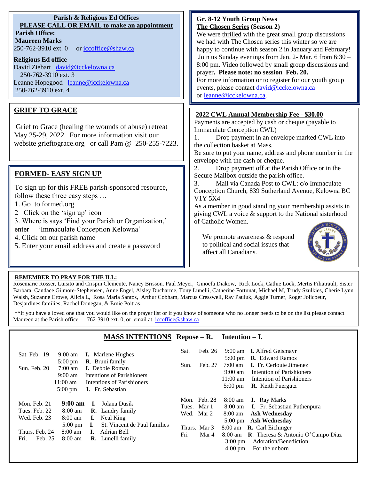| <b>Parish &amp; Religious Ed Offices</b><br>PLEASE CALL OR EMAIL to make an appointment<br><b>Parish Office:</b><br><b>Maureen Marks</b><br>250-762-3910 ext. 0<br>or iccoffice@shaw.ca                                                                                                                                                                             | <b>Gr. 8-12 Youth Group News</b><br>The Chosen Series (Season 2)<br>We were thrilled with the great small group discussions<br>we had with The Chosen series this winter so we are<br>happy to continue with season 2 in January and February!<br>Join us Sunday evenings from Jan. 2- Mar. 6 from 6:30 -                                                                                                                                                                         |
|---------------------------------------------------------------------------------------------------------------------------------------------------------------------------------------------------------------------------------------------------------------------------------------------------------------------------------------------------------------------|-----------------------------------------------------------------------------------------------------------------------------------------------------------------------------------------------------------------------------------------------------------------------------------------------------------------------------------------------------------------------------------------------------------------------------------------------------------------------------------|
| <b>Religious Ed office</b><br>David Ziebart david@icckelowna.ca<br>250-762-3910 ext. 3<br>Leanne Hopegood leanne@icckelowna.ca<br>250-762-3910 ext. 4                                                                                                                                                                                                               | 8:00 pm. Video followed by small group discussions and<br>prayer. Please note: no session Feb. 20.<br>For more information or to register for our youth group<br>events, please contact david@icckelowna.ca<br>or leanne@icckelowna.ca.                                                                                                                                                                                                                                           |
| <b>GRIEF TO GRACE</b><br>Grief to Grace (healing the wounds of abuse) retreat<br>May 25-29, 2022. For more information visit our<br>website grieftograce.org or call Pam @ 250-255-7223.                                                                                                                                                                            | 2022 CWL Annual Membership Fee - \$30.00<br>Payments are accepted by cash or cheque (payable to<br>Immaculate Conception CWL)<br>Drop payment in an envelope marked CWL into<br>1.<br>the collection basket at Mass.<br>Be sure to put your name, address and phone number in the<br>envelope with the cash or cheque.                                                                                                                                                            |
| <b>FORMED- EASY SIGN UP</b><br>To sign up for this FREE parish-sponsored resource,<br>follow these three easy steps<br>1. Go to formed.org<br>2 Click on the 'sign up' icon<br>3. Where is says 'Find your Parish or Organization,'<br>'Immaculate Conception Kelowna'<br>enter<br>4. Click on our parish name<br>5. Enter your email address and create a password | 2.<br>Drop payment off at the Parish Office or in the<br>Secure Mailbox outside the parish office.<br>Mail via Canada Post to CWL: c/o Immaculate<br>3.<br>Conception Church, 839 Sutherland Avenue, Kelowna BC<br><b>V1Y 5X4</b><br>As a member in good standing your membership assists in<br>giving CWL a voice & support to the National sisterhood<br>of Catholic Women.<br>We promote awareness $&$ respond<br>to political and social issues that<br>affect all Canadians. |
| REMEMBER TO PRAY FOR THE ILL:                                                                                                                                                                                                                                                                                                                                       |                                                                                                                                                                                                                                                                                                                                                                                                                                                                                   |

Rosemarie Rosser, Luisito and Crispin Clemente, Nancy Brisson. Paul Meyer, Ginoefa Diakow, Rick Lock, Cathie Lock, Mertis Filiatrault, Sister Barbara, Candace Gilmore-Stephensen, Anne Engel, Aisley Ducharme, Tony Lunelli, Catherine Fortunat, Michael M, Trudy Szulkies, Cherie Lynn Walsh, Suzanne Crowe, Alicia L, Rosa Maria Santos, Arthur Cobham, Marcus Cresswell, Ray Pauluk, Aggie Turner, Roger Jolicoeur, Desjardines families, Rachel Donegan, & Ernie Poitras.

\*\*If you have a loved one that you would like on the prayer list or if you know of someone who no longer needs to be on the list please contact Maureen at the Parish office – 762-3910 ext. 0, or email at  $\frac{iccoffice@shaw.ca}{iccoffice@shaw.ca}$ 

Ξ

 $\overline{a}$ 

## **MASS INTENTIONS Repose – R. Intention – I.**

| <b>I.</b> Marlene Hughes<br>Sat. Feb. 19<br>$9:00 \text{ am}$<br><b>R.</b> Bruni family<br>$5:00 \text{ pm}$<br><b>I.</b> Debbie Roman<br>Sun. Feb. 20<br>$7:00 \text{ am}$<br>Intentions of Parishioners<br>$9:00 \text{ am}$<br>$11:00 \text{ am}$<br>Intentions of Parishioners<br>I. Fr. Sebastian<br>$5:00 \text{ pm}$                     | Sat.<br>Sun. | Feb. 26<br>Feb. 27                                                 | 9:00 am<br>$5:00 \text{ pm}$<br>7:00 am<br>$9:00 \text{ am}$<br>$11:00 \text{ am}$<br>$5:00 \text{ pm}$           | <b>I.</b> Alfred Geismayr<br><b>R.</b> Edward Ramos<br><b>I.</b> Fr. Cerlouie Jimenez<br>Intention of Parishioners<br>Intention of Parishioners<br><b>R.</b> Keith Fuergutz                                                    |
|-------------------------------------------------------------------------------------------------------------------------------------------------------------------------------------------------------------------------------------------------------------------------------------------------------------------------------------------------|--------------|--------------------------------------------------------------------|-------------------------------------------------------------------------------------------------------------------|--------------------------------------------------------------------------------------------------------------------------------------------------------------------------------------------------------------------------------|
| $9:00 \text{ am}$<br>Mon. Feb. 21<br>Jolana Dusik<br>Ъ.<br>Tues. Feb. 22<br>8:00 am<br><b>R.</b> Landry family<br>Wed. Feb. 23<br>8:00 am<br>Neal King<br>L.<br>St. Vincent de Paul families<br>$5:00 \text{ pm}$<br>L.<br>$8:00$ am<br>Thurs. Feb. 24<br>Adrian Bell<br>L.<br>Fri.<br>$8:00 \text{ am}$<br>Feb. 25<br><b>R.</b> Lunelli family | Fri          | Mon. Feb. 28<br>Tues. Mar 1<br>Wed. Mar 2<br>Thurs. Mar 3<br>Mar 4 | $8:00 \text{ am}$<br>8:00 am<br>8:00 am<br>$5:00 \text{ pm}$<br>8:00 am<br>$3:00 \text{ pm}$<br>$4:00 \text{ pm}$ | <b>I.</b> Ray Marks<br><b>I.</b> Fr. Sebastian Puthenpura<br>Ash Wednesday<br><b>Ash Wednesday</b><br>8:00 am <b>R.</b> Carl Eichinger<br><b>R</b> . Theresa & Antonio O'Campo Diaz<br>Adoration/Benediction<br>For the unborn |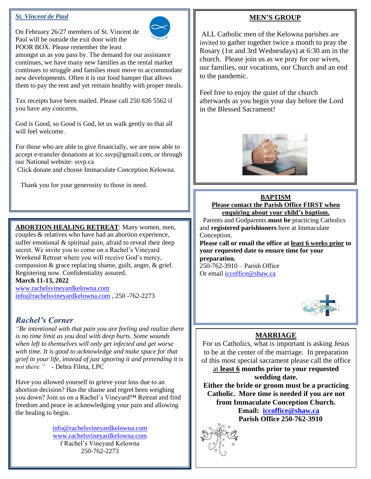## *St. Vincent de Paul*

On February 26/27 members of St. Vincent de Paul will be outside the exit door with the POOR BOX. Please remember the least



amongst us as you pass by. The demand for our assistance continues, we have many new families as the rental market continues to struggle and families must move to accommodate new developments. Often it is our food hamper that allows them to pay the rent and yet remain healthy with proper meals.

Tax receipts have been mailed. Please call 250 826 5562 if you have any concerns.

God is Good, so Good is God, let us walk gently so that all will feel welcome.

For those who are able to give financially, we are now able to accept e-transfer donations at icc.ssvp@gmail.com, or through our National website: ssvp.ca

Click donate and choose Immaculate Conception Kelowna.

Thank you for your generosity to those in need.

**ABORTION HEALING RETREAT**: Many women, men, couples & relatives who have had an abortion experience, suffer emotional & spiritual pain, afraid to reveal their deep secret. We invite you to come on a Rachel's Vineyard Weekend Retreat where you will receive God's mercy, compassion & grace replacing shame, guilt, anger, & grief. Registering now. Confidentiality assured. **March 11-13, 2022**

[www.rachelsvineyardkelowna.com](http://www.rachelsvineyardkelowna.com/) [info@rachelsvineyardkelowna.com](mailto:info@rachelsvineyardkelowna.com) , 250 -762-2273

# *Rachel's Corner*

*"Be intentional with that pain you are feeling and realize there is no time limit as you deal with deep hurts. Some wounds when left to themselves will only get infected and get worse with time. It is good to acknowledge and make space for that grief in your life, instead of just ignoring it and pretending it is not there."* - Debra Fileta, LPC

Have you allowed yourself to grieve your loss due to an abortion decision? Has the shame and regret been weighing you down? Join us on a Rachel's Vineyard™ Retreat and find freedom and peace in acknowledging your pain and allowing the healing to begin.

> [info@rachelsvineyardkelowna.com](mailto:info@rachelsvineyardkelowna.com) [www.rachelsvineyardkelowna.com](http://www.rachelsvineyardkelowna.com/) f Rachel's Vineyard Kelowna 250-762-2273

## **MEN'S GROUP**

ALL Catholic men of the Kelowna parishes are invited to gather together twice a month to pray the Rosary (1st and 3rd Wednesdays) at 6:30 am in the church. Please join us as we pray for our wives, our families, our vocations, our Church and an end to the pandemic.

Feel free to enjoy the quiet of the church afterwards as you begin your day before the Lord in the Blessed Sacrament!



**BAPTISM Please contact the Parish Office FIRST when enquiring about your child's baptism.** 

 Parents and Godparents **must be** practicing Catholics and **registered parishioners** here at Immaculate Conception.

**Please call or email the office at least 6 weeks prior to your requested date to ensure time for your preparation.** 

250-762-3910 – Parish Office Or email [iccoffice@shaw.ca](mailto:iccoffice@shaw.ca) 

 $\overline{a}$ 



# **MARRIAGE**

For us Catholics, what is important is asking Jesus to be at the center of the marriage. In preparation of this most special sacrament please call the office

at **least 6 months prior to your requested wedding date.**

**Either the bride or groom must be a practicing Catholic. More time is needed if you are not from Immaculate Conception Church. Email: [iccoffice@shaw.ca](mailto:iccoffice@shaw.ca)**

 **Parish Office 250-762-3910**